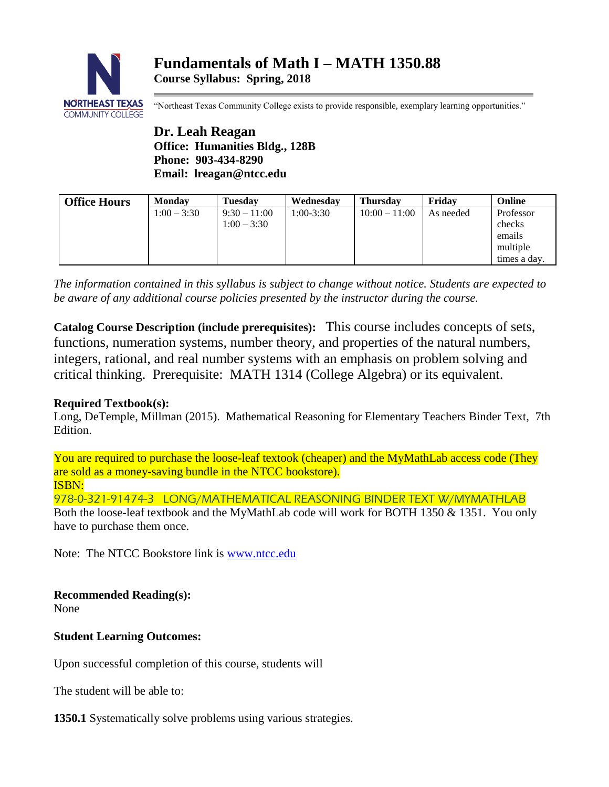

"Northeast Texas Community College exists to provide responsible, exemplary learning opportunities."

**Dr. Leah Reagan Office: Humanities Bldg., 128B Phone: 903-434-8290 Email: lreagan@ntcc.edu**

| <b>Office Hours</b> | Mondav        | <b>Tuesdav</b> | Wednesday   | <b>Thursdav</b> | Fridav    | Online       |
|---------------------|---------------|----------------|-------------|-----------------|-----------|--------------|
|                     | $1:00 - 3:30$ | $9:30 - 11:00$ | $1:00-3:30$ | $10:00 - 11:00$ | As needed | Professor    |
|                     |               | $1:00 - 3:30$  |             |                 |           | checks       |
|                     |               |                |             |                 |           | emails       |
|                     |               |                |             |                 |           | multiple     |
|                     |               |                |             |                 |           | times a day. |

*The information contained in this syllabus is subject to change without notice. Students are expected to be aware of any additional course policies presented by the instructor during the course.*

**Catalog Course Description (include prerequisites):** This course includes concepts of sets, functions, numeration systems, number theory, and properties of the natural numbers, integers, rational, and real number systems with an emphasis on problem solving and critical thinking. Prerequisite: MATH 1314 (College Algebra) or its equivalent.

# **Required Textbook(s):**

Long, DeTemple, Millman (2015). Mathematical Reasoning for Elementary Teachers Binder Text, 7th Edition.

You are required to purchase the loose-leaf textook (cheaper) and the MyMathLab access code (They are sold as a money-saving bundle in the NTCC bookstore). ISBN:

978-0-321-91474-3 LONG/MATHEMATICAL REASONING BINDER TEXT W/MYMATHLAB Both the loose-leaf textbook and the MyMathLab code will work for BOTH 1350 & 1351. You only have to purchase them once.

Note: The NTCC Bookstore link is [www.ntcc.edu](http://www.ntcc.edu/)

**Recommended Reading(s):**

None

# **Student Learning Outcomes:**

Upon successful completion of this course, students will

The student will be able to:

**1350.1** Systematically solve problems using various strategies.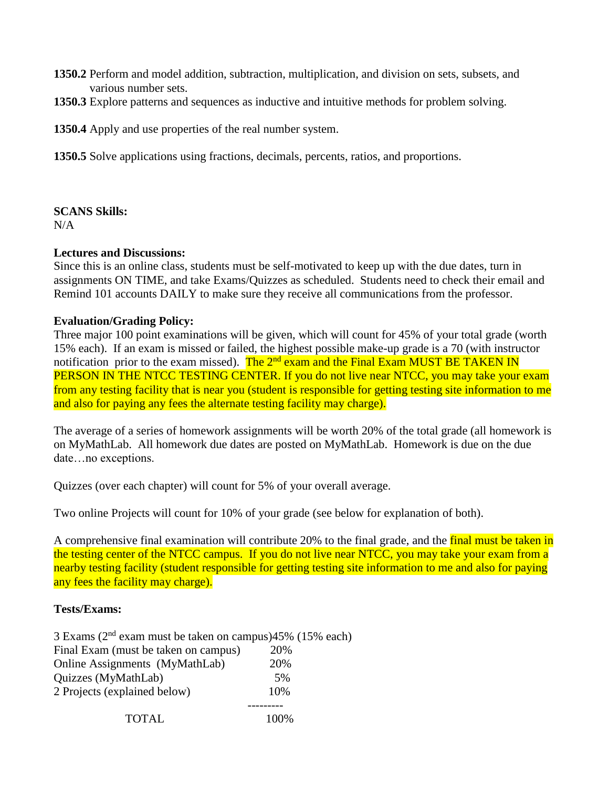- **1350.2** Perform and model addition, subtraction, multiplication, and division on sets, subsets, and various number sets.
- **1350.3** Explore patterns and sequences as inductive and intuitive methods for problem solving.

**1350.4** Apply and use properties of the real number system.

**1350.5** Solve applications using fractions, decimals, percents, ratios, and proportions.

### **SCANS Skills:**

 $N/A$ 

### **Lectures and Discussions:**

Since this is an online class, students must be self-motivated to keep up with the due dates, turn in assignments ON TIME, and take Exams/Quizzes as scheduled. Students need to check their email and Remind 101 accounts DAILY to make sure they receive all communications from the professor.

### **Evaluation/Grading Policy:**

Three major 100 point examinations will be given, which will count for 45% of your total grade (worth 15% each). If an exam is missed or failed, the highest possible make-up grade is a 70 (with instructor notification prior to the exam missed). The  $2<sup>nd</sup>$  exam and the Final Exam MUST BE TAKEN IN PERSON IN THE NTCC TESTING CENTER. If you do not live near NTCC, you may take your exam from any testing facility that is near you (student is responsible for getting testing site information to me and also for paying any fees the alternate testing facility may charge).

The average of a series of homework assignments will be worth 20% of the total grade (all homework is on MyMathLab. All homework due dates are posted on MyMathLab. Homework is due on the due date…no exceptions.

Quizzes (over each chapter) will count for 5% of your overall average.

Two online Projects will count for 10% of your grade (see below for explanation of both).

A comprehensive final examination will contribute 20% to the final grade, and the final must be taken in the testing center of the NTCC campus. If you do not live near NTCC, you may take your exam from a nearby testing facility (student responsible for getting testing site information to me and also for paying any fees the facility may charge).

### **Tests/Exams:**

| 3 Exams ( $2nd$ exam must be taken on campus) $45%$ (15% each) |      |
|----------------------------------------------------------------|------|
| Final Exam (must be taken on campus)                           | 20%  |
| Online Assignments (MyMathLab)                                 | 20%  |
| Quizzes (MyMathLab)                                            | 5%   |
| 2 Projects (explained below)                                   | 10%  |
|                                                                |      |
| TOTAL                                                          | 100% |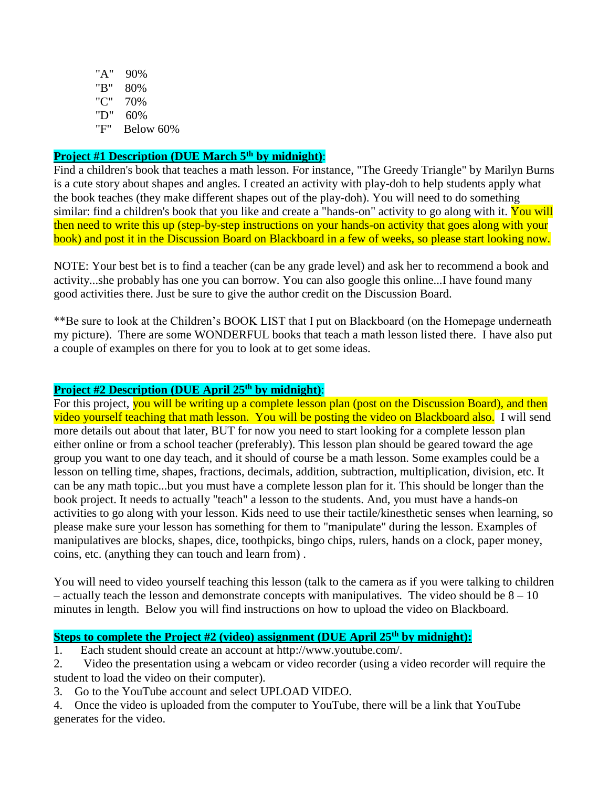"A" 90% "B" 80% "C" 70% "D" 60% "F" Below 60%

# **Project #1 Description (DUE March 5th by midnight)**:

Find a children's book that teaches a math lesson. For instance, "The Greedy Triangle" by Marilyn Burns is a cute story about shapes and angles. I created an activity with play-doh to help students apply what the book teaches (they make different shapes out of the play-doh). You will need to do something similar: find a children's book that you like and create a "hands-on" activity to go along with it. You will then need to write this up (step-by-step instructions on your hands-on activity that goes along with your book) and post it in the Discussion Board on Blackboard in a few of weeks, so please start looking now.

NOTE: Your best bet is to find a teacher (can be any grade level) and ask her to recommend a book and activity...she probably has one you can borrow. You can also google this online...I have found many good activities there. Just be sure to give the author credit on the Discussion Board.

\*\*Be sure to look at the Children's BOOK LIST that I put on Blackboard (on the Homepage underneath my picture). There are some WONDERFUL books that teach a math lesson listed there. I have also put a couple of examples on there for you to look at to get some ideas.

### **Project #2 Description (DUE April 25th by midnight)**:

For this project, you will be writing up a complete lesson plan (post on the Discussion Board), and then video yourself teaching that math lesson. You will be posting the video on Blackboard also. I will send more details out about that later, BUT for now you need to start looking for a complete lesson plan either online or from a school teacher (preferably). This lesson plan should be geared toward the age group you want to one day teach, and it should of course be a math lesson. Some examples could be a lesson on telling time, shapes, fractions, decimals, addition, subtraction, multiplication, division, etc. It can be any math topic...but you must have a complete lesson plan for it. This should be longer than the book project. It needs to actually "teach" a lesson to the students. And, you must have a hands-on activities to go along with your lesson. Kids need to use their tactile/kinesthetic senses when learning, so please make sure your lesson has something for them to "manipulate" during the lesson. Examples of manipulatives are blocks, shapes, dice, toothpicks, bingo chips, rulers, hands on a clock, paper money, coins, etc. (anything they can touch and learn from) .

You will need to video yourself teaching this lesson (talk to the camera as if you were talking to children – actually teach the lesson and demonstrate concepts with manipulatives. The video should be  $8 - 10$ minutes in length. Below you will find instructions on how to upload the video on Blackboard.

### **Steps to complete the Project #2 (video) assignment (DUE April 25th by midnight):**

1. Each student should create an account at http://www.youtube.com/.

2. Video the presentation using a webcam or video recorder (using a video recorder will require the student to load the video on their computer).

3. Go to the YouTube account and select UPLOAD VIDEO.

4. Once the video is uploaded from the computer to YouTube, there will be a link that YouTube generates for the video.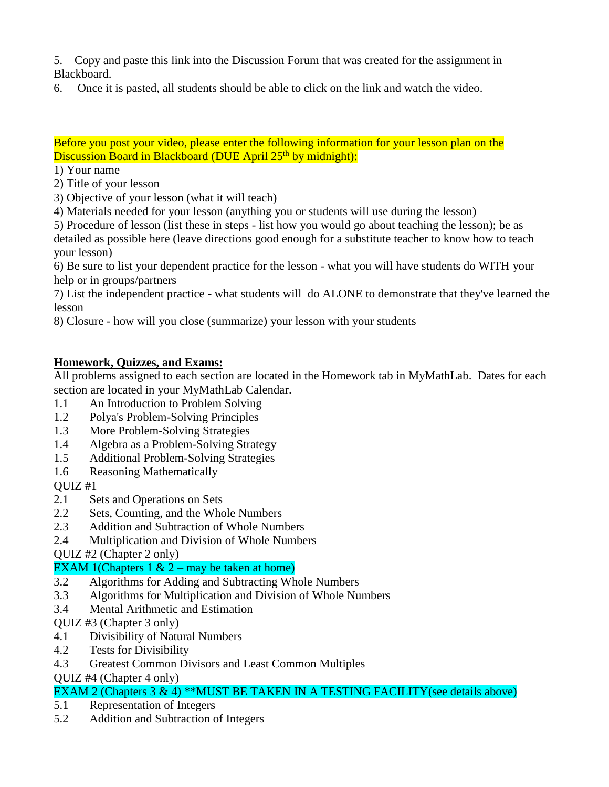5. Copy and paste this link into the Discussion Forum that was created for the assignment in Blackboard.

6. Once it is pasted, all students should be able to click on the link and watch the video.

Before you post your video, please enter the following information for your lesson plan on the Discussion Board in Blackboard (DUE April 25<sup>th</sup> by midnight):

1) Your name

2) Title of your lesson

3) Objective of your lesson (what it will teach)

4) Materials needed for your lesson (anything you or students will use during the lesson)

5) Procedure of lesson (list these in steps - list how you would go about teaching the lesson); be as detailed as possible here (leave directions good enough for a substitute teacher to know how to teach your lesson)

6) Be sure to list your dependent practice for the lesson - what you will have students do WITH your help or in groups/partners

7) List the independent practice - what students will do ALONE to demonstrate that they've learned the lesson

8) Closure - how will you close (summarize) your lesson with your students

# **Homework, Quizzes, and Exams:**

All problems assigned to each section are located in the Homework tab in MyMathLab. Dates for each section are located in your MyMathLab Calendar.

- 1.1 An Introduction to Problem Solving
- 1.2 Polya's Problem-Solving Principles
- 1.3 More Problem-Solving Strategies
- 1.4 Algebra as a Problem-Solving Strategy
- 1.5 Additional Problem-Solving Strategies
- 1.6 Reasoning Mathematically

QUIZ #1

- 2.1 Sets and Operations on Sets
- 2.2 Sets, Counting, and the Whole Numbers
- 2.3 Addition and Subtraction of Whole Numbers
- 2.4 Multiplication and Division of Whole Numbers
- QUIZ #2 (Chapter 2 only)

# EXAM 1(Chapters 1  $& 2 -$  may be taken at home)

- 3.2 Algorithms for Adding and Subtracting Whole Numbers
- 3.3 Algorithms for Multiplication and Division of Whole Numbers
- 3.4 Mental Arithmetic and Estimation
- QUIZ #3 (Chapter 3 only)
- 4.1 Divisibility of Natural Numbers
- 4.2 Tests for Divisibility
- 4.3 Greatest Common Divisors and Least Common Multiples

QUIZ #4 (Chapter 4 only)

# EXAM 2 (Chapters 3 & 4) \*\*MUST BE TAKEN IN A TESTING FACILITY (see details above)

- 5.1 Representation of Integers
- 5.2 Addition and Subtraction of Integers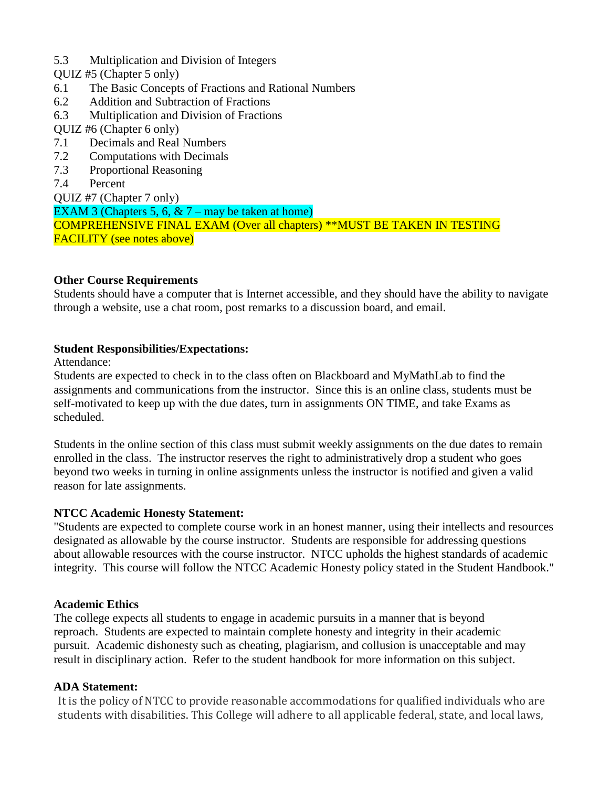- 5.3 Multiplication and Division of Integers
- QUIZ #5 (Chapter 5 only)
- 6.1 The Basic Concepts of Fractions and Rational Numbers
- 6.2 Addition and Subtraction of Fractions
- 6.3 Multiplication and Division of Fractions
- QUIZ #6 (Chapter 6 only)
- 7.1 Decimals and Real Numbers
- 7.2 Computations with Decimals
- 7.3 Proportional Reasoning
- 7.4 Percent

QUIZ #7 (Chapter 7 only) EXAM 3 (Chapters 5, 6,  $& 7 -$  may be taken at home) COMPREHENSIVE FINAL EXAM (Over all chapters) \*\*MUST BE TAKEN IN TESTING FACILITY (see notes above)

### **Other Course Requirements**

Students should have a computer that is Internet accessible, and they should have the ability to navigate through a website, use a chat room, post remarks to a discussion board, and email.

### **Student Responsibilities/Expectations:**

Attendance:

Students are expected to check in to the class often on Blackboard and MyMathLab to find the assignments and communications from the instructor. Since this is an online class, students must be self-motivated to keep up with the due dates, turn in assignments ON TIME, and take Exams as scheduled.

Students in the online section of this class must submit weekly assignments on the due dates to remain enrolled in the class. The instructor reserves the right to administratively drop a student who goes beyond two weeks in turning in online assignments unless the instructor is notified and given a valid reason for late assignments.

### **NTCC Academic Honesty Statement:**

"Students are expected to complete course work in an honest manner, using their intellects and resources designated as allowable by the course instructor. Students are responsible for addressing questions about allowable resources with the course instructor. NTCC upholds the highest standards of academic integrity. This course will follow the NTCC Academic Honesty policy stated in the Student Handbook."

### **Academic Ethics**

The college expects all students to engage in academic pursuits in a manner that is beyond reproach. Students are expected to maintain complete honesty and integrity in their academic pursuit. Academic dishonesty such as cheating, plagiarism, and collusion is unacceptable and may result in disciplinary action. Refer to the student handbook for more information on this subject.

### **ADA Statement:**

It is the policy of NTCC to provide reasonable accommodations for qualified individuals who are students with disabilities. This College will adhere to all applicable federal, state, and local laws,